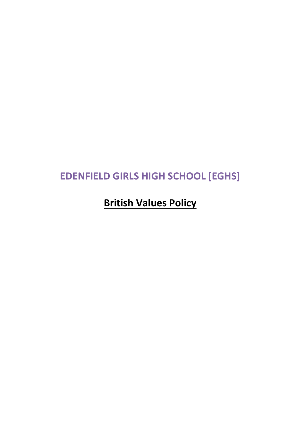# **EDENFIELD GIRLS HIGH SCHOOL [EGHS]**

## **British Values Policy**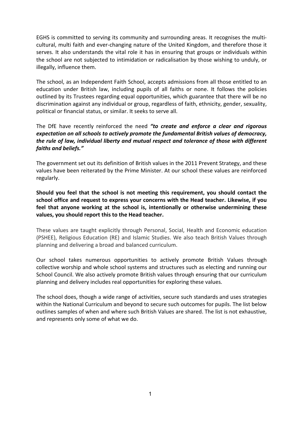EGHS is committed to serving its community and surrounding areas. It recognises the multicultural, multi faith and ever-changing nature of the United Kingdom, and therefore those it serves. It also understands the vital role it has in ensuring that groups or individuals within the school are not subjected to intimidation or radicalisation by those wishing to unduly, or illegally, influence them.

The school, as an Independent Faith School, accepts admissions from all those entitled to an education under British law, including pupils of all faiths or none. It follows the policies outlined by its Trustees regarding equal opportunities, which guarantee that there will be no discrimination against any individual or group, regardless of faith, ethnicity, gender, sexuality, political or financial status, or similar. It seeks to serve all.

The DfE have recently reinforced the need *"to create and enforce a clear and rigorous expectation on all schools to actively promote the fundamental British values of democracy, the rule of law, individual liberty and mutual respect and tolerance of those with different faiths and beliefs."*

The government set out its definition of British values in the 2011 Prevent Strategy, and these values have been reiterated by the Prime Minister. At our school these values are reinforced regularly.

**Should you feel that the school is not meeting this requirement, you should contact the school office and request to express your concerns with the Head teacher. Likewise, if you feel that anyone working at the school is, intentionally or otherwise undermining these values, you should report this to the Head teacher.**

These values are taught explicitly through Personal, Social, Health and Economic education (PSHEE), Religious Education (RE) and Islamic Studies. We also teach British Values through planning and delivering a broad and balanced curriculum.

Our school takes numerous opportunities to actively promote British Values through collective worship and whole school systems and structures such as electing and running our School Council. We also actively promote British values through ensuring that our curriculum planning and delivery includes real opportunities for exploring these values.

The school does, though a wide range of activities, secure such standards and uses strategies within the National Curriculum and beyond to secure such outcomes for pupils. The list below outlines samples of when and where such British Values are shared. The list is not exhaustive, and represents only some of what we do.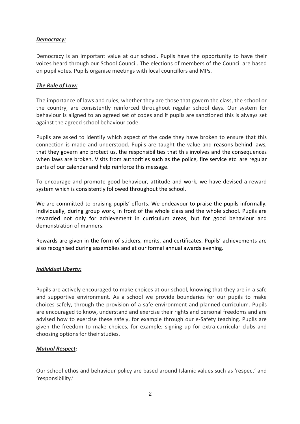#### *Democracy:*

Democracy is an important value at our school. Pupils have the opportunity to have their voices heard through our School Council. The elections of members of the Council are based on pupil votes. Pupils organise meetings with local councillors and MPs.

#### *The Rule of Law:*

The importance of laws and rules, whether they are those that govern the class, the school or the country, are consistently reinforced throughout regular school days. Our system for behaviour is aligned to an agreed set of codes and if pupils are sanctioned this is always set against the agreed school behaviour code.

Pupils are asked to identify which aspect of the code they have broken to ensure that this connection is made and understood. Pupils are taught the value and reasons behind laws, that they govern and protect us, the responsibilities that this involves and the consequences when laws are broken. Visits from authorities such as the police, fire service etc. are regular parts of our calendar and help reinforce this message.

To encourage and promote good behaviour, attitude and work, we have devised a reward system which is consistently followed throughout the school.

We are committed to praising pupils' efforts. We endeavour to praise the pupils informally, individually, during group work, in front of the whole class and the whole school. Pupils are rewarded not only for achievement in curriculum areas, but for good behaviour and demonstration of manners.

Rewards are given in the form of stickers, merits, and certificates. Pupils' achievements are also recognised during assemblies and at our formal annual awards evening.

#### *Individual Liberty:*

Pupils are actively encouraged to make choices at our school, knowing that they are in a safe and supportive environment. As a school we provide boundaries for our pupils to make choices safely, through the provision of a safe environment and planned curriculum. Pupils are encouraged to know, understand and exercise their rights and personal freedoms and are advised how to exercise these safely, for example through our e-Safety teaching. Pupils are given the freedom to make choices, for example; signing up for extra-curricular clubs and choosing options for their studies.

#### *Mutual Respect:*

Our school ethos and behaviour policy are based around Islamic values such as 'respect' and 'responsibility.'